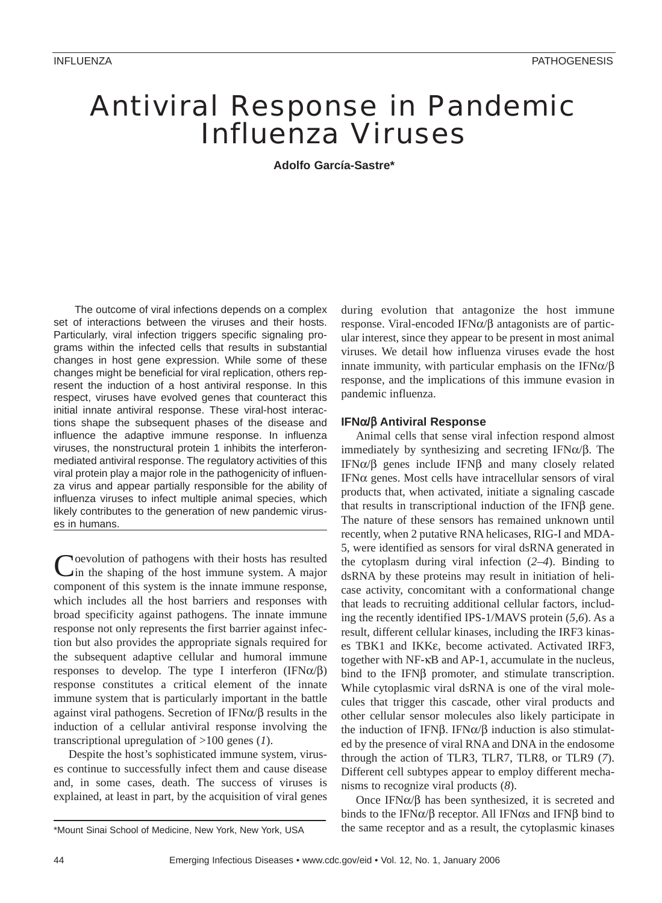# Antiviral Response in Pandemic Influenza Viruses

**Adolfo García-Sastre\***

The outcome of viral infections depends on a complex set of interactions between the viruses and their hosts. Particularly, viral infection triggers specific signaling programs within the infected cells that results in substantial changes in host gene expression. While some of these changes might be beneficial for viral replication, others represent the induction of a host antiviral response. In this respect, viruses have evolved genes that counteract this initial innate antiviral response. These viral-host interactions shape the subsequent phases of the disease and influence the adaptive immune response. In influenza viruses, the nonstructural protein 1 inhibits the interferonmediated antiviral response. The regulatory activities of this viral protein play a major role in the pathogenicity of influenza virus and appear partially responsible for the ability of influenza viruses to infect multiple animal species, which likely contributes to the generation of new pandemic viruses in humans.

Coevolution of pathogens with their hosts has resulted in the shaping of the host immune system. A major component of this system is the innate immune response, which includes all the host barriers and responses with broad specificity against pathogens. The innate immune response not only represents the first barrier against infection but also provides the appropriate signals required for the subsequent adaptive cellular and humoral immune responses to develop. The type I interferon  $(IFN\alpha/\beta)$ response constitutes a critical element of the innate immune system that is particularly important in the battle against viral pathogens. Secretion of IFN $\alpha/\beta$  results in the induction of a cellular antiviral response involving the transcriptional upregulation of >100 genes (*1*).

Despite the host's sophisticated immune system, viruses continue to successfully infect them and cause disease and, in some cases, death. The success of viruses is explained, at least in part, by the acquisition of viral genes

during evolution that antagonize the host immune response. Viral-encoded IFNα/β antagonists are of particular interest, since they appear to be present in most animal viruses. We detail how influenza viruses evade the host innate immunity, with particular emphasis on the IFN $\alpha/\beta$ response, and the implications of this immune evasion in pandemic influenza.

## **IFN**α**/**β **Antiviral Response**

Animal cells that sense viral infection respond almost immediately by synthesizing and secreting IFN $\alpha/\beta$ . The IFNα/β genes include IFNβ and many closely related IFN $\alpha$  genes. Most cells have intracellular sensors of viral products that, when activated, initiate a signaling cascade that results in transcriptional induction of the IFNβ gene. The nature of these sensors has remained unknown until recently, when 2 putative RNA helicases, RIG-I and MDA-5, were identified as sensors for viral dsRNA generated in the cytoplasm during viral infection (*2–4*). Binding to dsRNA by these proteins may result in initiation of helicase activity, concomitant with a conformational change that leads to recruiting additional cellular factors, including the recently identified IPS-1/MAVS protein (*5,6*). As a result, different cellular kinases, including the IRF3 kinases TBK1 and IKKε, become activated. Activated IRF3, together with NF-κB and AP-1, accumulate in the nucleus, bind to the IFNβ promoter, and stimulate transcription. While cytoplasmic viral dsRNA is one of the viral molecules that trigger this cascade, other viral products and other cellular sensor molecules also likely participate in the induction of IFNβ. IFNα/β induction is also stimulated by the presence of viral RNA and DNA in the endosome through the action of TLR3, TLR7, TLR8, or TLR9 (*7*). Different cell subtypes appear to employ different mechanisms to recognize viral products (*8*).

Once IFNα/β has been synthesized, it is secreted and binds to the IFNα/β receptor. All IFNαs and IFNβ bind to the same receptor and as a result, the cytoplasmic kinases

<sup>\*</sup>Mount Sinai School of Medicine, New York, New York, USA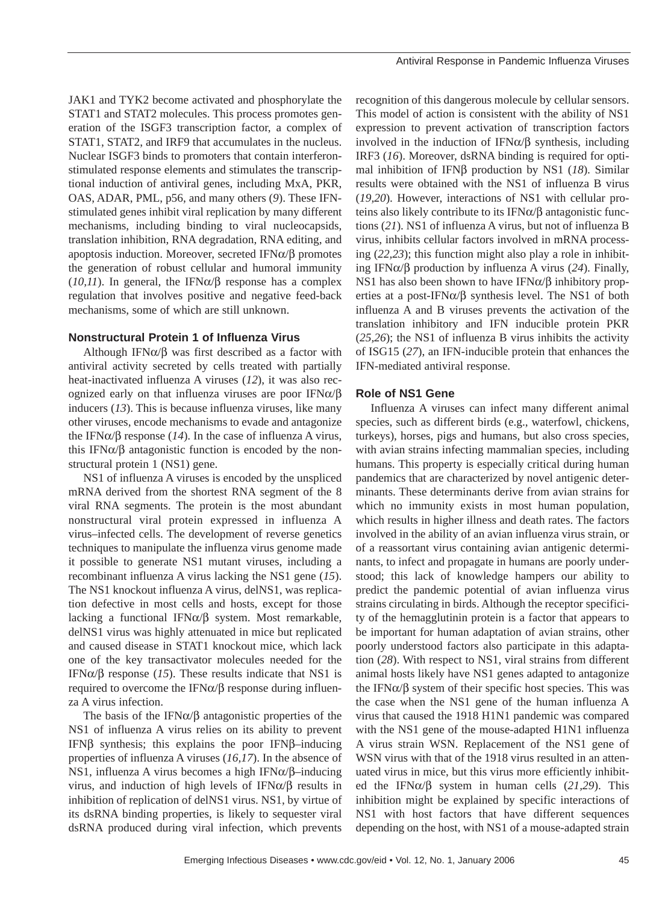JAK1 and TYK2 become activated and phosphorylate the STAT1 and STAT2 molecules. This process promotes generation of the ISGF3 transcription factor, a complex of STAT1, STAT2, and IRF9 that accumulates in the nucleus. Nuclear ISGF3 binds to promoters that contain interferonstimulated response elements and stimulates the transcriptional induction of antiviral genes, including MxA, PKR, OAS, ADAR, PML, p56, and many others (*9*). These IFNstimulated genes inhibit viral replication by many different mechanisms, including binding to viral nucleocapsids, translation inhibition, RNA degradation, RNA editing, and apoptosis induction. Moreover, secreted IFNα/β promotes the generation of robust cellular and humoral immunity ( $10,11$ ). In general, the IFN $\alpha/\beta$  response has a complex regulation that involves positive and negative feed-back mechanisms, some of which are still unknown.

## **Nonstructural Protein 1 of Influenza Virus**

Although IFN $\alpha/\beta$  was first described as a factor with antiviral activity secreted by cells treated with partially heat-inactivated influenza A viruses (*12*), it was also recognized early on that influenza viruses are poor IFN $\alpha/\beta$ inducers (*13*). This is because influenza viruses, like many other viruses, encode mechanisms to evade and antagonize the IFNα/β response ( $14$ ). In the case of influenza A virus, this IFN $α/β$  antagonistic function is encoded by the nonstructural protein 1 (NS1) gene.

NS1 of influenza A viruses is encoded by the unspliced mRNA derived from the shortest RNA segment of the 8 viral RNA segments. The protein is the most abundant nonstructural viral protein expressed in influenza A virus–infected cells. The development of reverse genetics techniques to manipulate the influenza virus genome made it possible to generate NS1 mutant viruses, including a recombinant influenza A virus lacking the NS1 gene (*15*). The NS1 knockout influenza A virus, delNS1, was replication defective in most cells and hosts, except for those lacking a functional IFNα/β system. Most remarkable, delNS1 virus was highly attenuated in mice but replicated and caused disease in STAT1 knockout mice, which lack one of the key transactivator molecules needed for the IFNα/β response (*15*). These results indicate that NS1 is required to overcome the IFNα/β response during influenza A virus infection.

The basis of the IFN $\alpha/\beta$  antagonistic properties of the NS1 of influenza A virus relies on its ability to prevent IFNβ synthesis; this explains the poor IFNβ–inducing properties of influenza A viruses (*16,17*). In the absence of NS1, influenza A virus becomes a high IFNα/β–inducing virus, and induction of high levels of IFNα/β results in inhibition of replication of delNS1 virus. NS1, by virtue of its dsRNA binding properties, is likely to sequester viral dsRNA produced during viral infection, which prevents

recognition of this dangerous molecule by cellular sensors. This model of action is consistent with the ability of NS1 expression to prevent activation of transcription factors involved in the induction of IFNα/β synthesis, including IRF3 (*16*). Moreover, dsRNA binding is required for optimal inhibition of IFNβ production by NS1 (*18*). Similar results were obtained with the NS1 of influenza B virus (*19,20*). However, interactions of NS1 with cellular proteins also likely contribute to its IFNα/β antagonistic functions (*21*). NS1 of influenza A virus, but not of influenza B virus, inhibits cellular factors involved in mRNA processing (*22,23*); this function might also play a role in inhibiting IFNα/β production by influenza A virus (*24*). Finally, NS1 has also been shown to have IFN $\alpha/\beta$  inhibitory properties at a post-IFNα/β synthesis level. The NS1 of both influenza A and B viruses prevents the activation of the translation inhibitory and IFN inducible protein PKR (*25,26*); the NS1 of influenza B virus inhibits the activity of ISG15 (*27*), an IFN-inducible protein that enhances the IFN-mediated antiviral response.

# **Role of NS1 Gene**

Influenza A viruses can infect many different animal species, such as different birds (e.g., waterfowl, chickens, turkeys), horses, pigs and humans, but also cross species, with avian strains infecting mammalian species, including humans. This property is especially critical during human pandemics that are characterized by novel antigenic determinants. These determinants derive from avian strains for which no immunity exists in most human population, which results in higher illness and death rates. The factors involved in the ability of an avian influenza virus strain, or of a reassortant virus containing avian antigenic determinants, to infect and propagate in humans are poorly understood; this lack of knowledge hampers our ability to predict the pandemic potential of avian influenza virus strains circulating in birds. Although the receptor specificity of the hemagglutinin protein is a factor that appears to be important for human adaptation of avian strains, other poorly understood factors also participate in this adaptation (*28*). With respect to NS1, viral strains from different animal hosts likely have NS1 genes adapted to antagonize the IFN $\alpha/\beta$  system of their specific host species. This was the case when the NS1 gene of the human influenza A virus that caused the 1918 H1N1 pandemic was compared with the NS1 gene of the mouse-adapted H1N1 influenza A virus strain WSN. Replacement of the NS1 gene of WSN virus with that of the 1918 virus resulted in an attenuated virus in mice, but this virus more efficiently inhibited the IFNα/β system in human cells (*21,29*). This inhibition might be explained by specific interactions of NS1 with host factors that have different sequences depending on the host, with NS1 of a mouse-adapted strain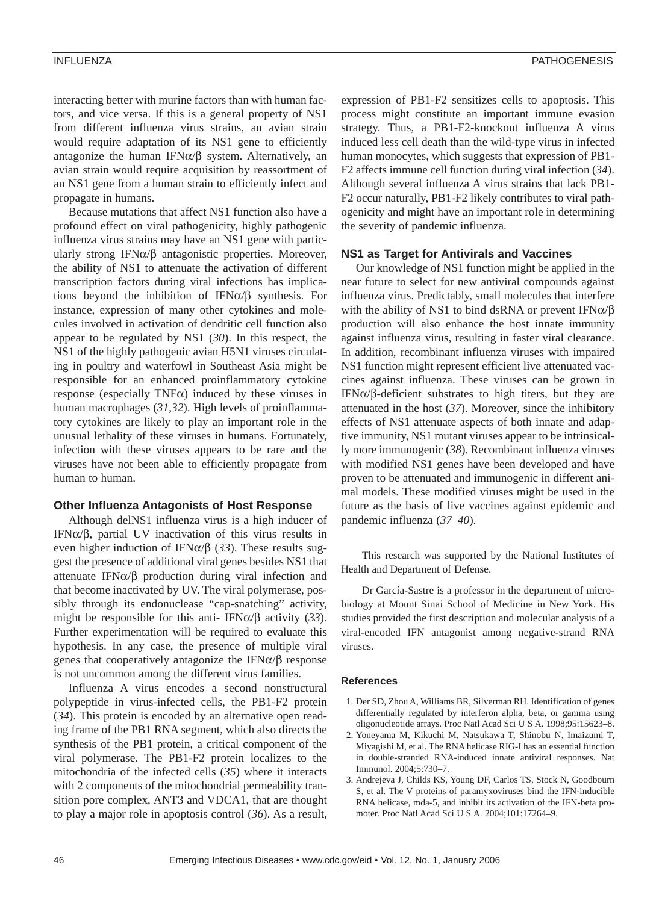interacting better with murine factors than with human factors, and vice versa. If this is a general property of NS1 from different influenza virus strains, an avian strain would require adaptation of its NS1 gene to efficiently antagonize the human IFN $\alpha/\beta$  system. Alternatively, an avian strain would require acquisition by reassortment of an NS1 gene from a human strain to efficiently infect and propagate in humans.

Because mutations that affect NS1 function also have a profound effect on viral pathogenicity, highly pathogenic influenza virus strains may have an NS1 gene with particularly strong IFNα/β antagonistic properties. Moreover, the ability of NS1 to attenuate the activation of different transcription factors during viral infections has implications beyond the inhibition of IFN $\alpha/\beta$  synthesis. For instance, expression of many other cytokines and molecules involved in activation of dendritic cell function also appear to be regulated by NS1 (*30*). In this respect, the NS1 of the highly pathogenic avian H5N1 viruses circulating in poultry and waterfowl in Southeast Asia might be responsible for an enhanced proinflammatory cytokine response (especially  $TNF\alpha$ ) induced by these viruses in human macrophages (*31,32*). High levels of proinflammatory cytokines are likely to play an important role in the unusual lethality of these viruses in humans. Fortunately, infection with these viruses appears to be rare and the viruses have not been able to efficiently propagate from human to human.

### **Other Influenza Antagonists of Host Response**

Although delNS1 influenza virus is a high inducer of IFNα/β, partial UV inactivation of this virus results in even higher induction of IFNα/β (*33*). These results suggest the presence of additional viral genes besides NS1 that attenuate IFNα/β production during viral infection and that become inactivated by UV. The viral polymerase, possibly through its endonuclease "cap-snatching" activity, might be responsible for this anti- IFNα/β activity (*33*). Further experimentation will be required to evaluate this hypothesis. In any case, the presence of multiple viral genes that cooperatively antagonize the IFN $\alpha/\beta$  response is not uncommon among the different virus families.

Influenza A virus encodes a second nonstructural polypeptide in virus-infected cells, the PB1-F2 protein (*34*). This protein is encoded by an alternative open reading frame of the PB1 RNA segment, which also directs the synthesis of the PB1 protein, a critical component of the viral polymerase. The PB1-F2 protein localizes to the mitochondria of the infected cells (*35*) where it interacts with 2 components of the mitochondrial permeability transition pore complex, ANT3 and VDCA1, that are thought to play a major role in apoptosis control (*36*). As a result,

expression of PB1-F2 sensitizes cells to apoptosis. This process might constitute an important immune evasion strategy. Thus, a PB1-F2-knockout influenza A virus induced less cell death than the wild-type virus in infected human monocytes, which suggests that expression of PB1- F2 affects immune cell function during viral infection (*34*). Although several influenza A virus strains that lack PB1- F2 occur naturally, PB1-F2 likely contributes to viral pathogenicity and might have an important role in determining the severity of pandemic influenza.

### **NS1 as Target for Antivirals and Vaccines**

Our knowledge of NS1 function might be applied in the near future to select for new antiviral compounds against influenza virus. Predictably, small molecules that interfere with the ability of NS1 to bind dsRNA or prevent IFN $\alpha/\beta$ production will also enhance the host innate immunity against influenza virus, resulting in faster viral clearance. In addition, recombinant influenza viruses with impaired NS1 function might represent efficient live attenuated vaccines against influenza. These viruses can be grown in IFNα/β-deficient substrates to high titers, but they are attenuated in the host (*37*). Moreover, since the inhibitory effects of NS1 attenuate aspects of both innate and adaptive immunity, NS1 mutant viruses appear to be intrinsically more immunogenic (*38*). Recombinant influenza viruses with modified NS1 genes have been developed and have proven to be attenuated and immunogenic in different animal models. These modified viruses might be used in the future as the basis of live vaccines against epidemic and pandemic influenza (*37–40*).

This research was supported by the National Institutes of Health and Department of Defense.

Dr García-Sastre is a professor in the department of microbiology at Mount Sinai School of Medicine in New York. His studies provided the first description and molecular analysis of a viral-encoded IFN antagonist among negative-strand RNA viruses.

### **References**

- 1. Der SD, Zhou A, Williams BR, Silverman RH. Identification of genes differentially regulated by interferon alpha, beta, or gamma using oligonucleotide arrays. Proc Natl Acad Sci U S A. 1998;95:15623–8.
- 2. Yoneyama M, Kikuchi M, Natsukawa T, Shinobu N, Imaizumi T, Miyagishi M, et al. The RNA helicase RIG-I has an essential function in double-stranded RNA-induced innate antiviral responses. Nat Immunol. 2004;5:730–7.
- 3. Andrejeva J, Childs KS, Young DF, Carlos TS, Stock N, Goodbourn S, et al. The V proteins of paramyxoviruses bind the IFN-inducible RNA helicase, mda-5, and inhibit its activation of the IFN-beta promoter. Proc Natl Acad Sci U S A. 2004;101:17264–9.